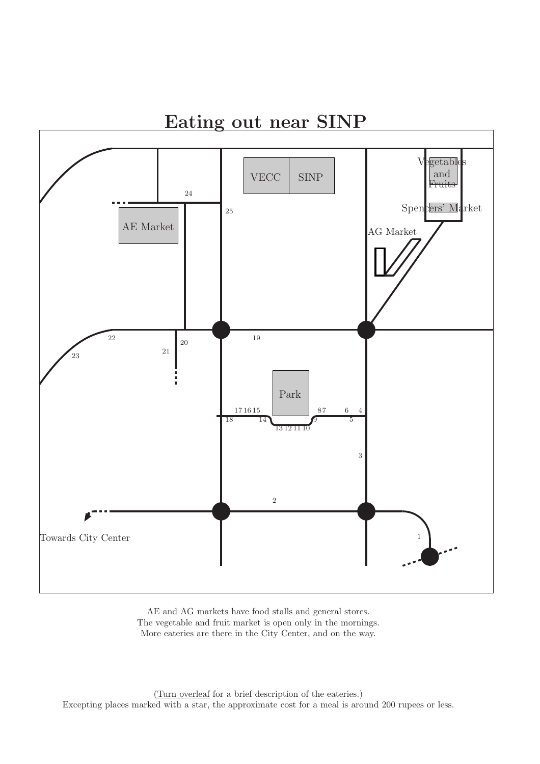

AE and AG markets have food stalls and general stores. The vegetable and fruit market is open only in the mornings. More eateries are there in the City Center, and on the way.

(Turn overleaf for a brief description of the eateries.) Excepting places marked with a star, the approximate cost for a meal is around 200 rupees or less.